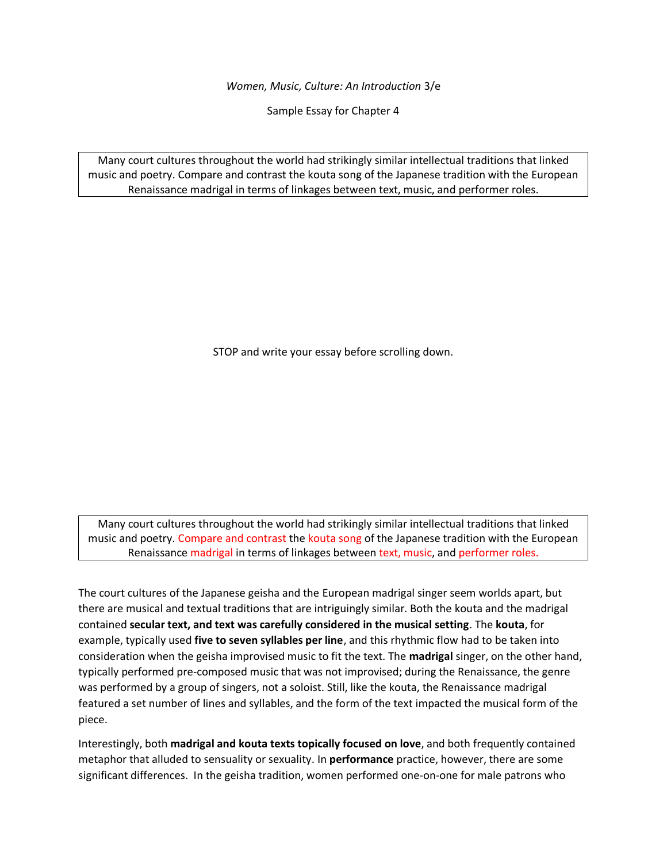*Women, Music, Culture: An Introduction* 3/e

Sample Essay for Chapter 4

Many court cultures throughout the world had strikingly similar intellectual traditions that linked music and poetry. Compare and contrast the kouta song of the Japanese tradition with the European Renaissance madrigal in terms of linkages between text, music, and performer roles.

STOP and write your essay before scrolling down.

Many court cultures throughout the world had strikingly similar intellectual traditions that linked music and poetry. Compare and contrast the kouta song of the Japanese tradition with the European Renaissance madrigal in terms of linkages between text, music, and performer roles.

The court cultures of the Japanese geisha and the European madrigal singer seem worlds apart, but there are musical and textual traditions that are intriguingly similar. Both the kouta and the madrigal contained **secular text, and text was carefully considered in the musical setting**. The **kouta**, for example, typically used **five to seven syllables per line**, and this rhythmic flow had to be taken into consideration when the geisha improvised music to fit the text. The **madrigal** singer, on the other hand, typically performed pre-composed music that was not improvised; during the Renaissance, the genre was performed by a group of singers, not a soloist. Still, like the kouta, the Renaissance madrigal featured a set number of lines and syllables, and the form of the text impacted the musical form of the piece.

Interestingly, both **madrigal and kouta texts topically focused on love**, and both frequently contained metaphor that alluded to sensuality or sexuality. In **performance** practice, however, there are some significant differences. In the geisha tradition, women performed one-on-one for male patrons who